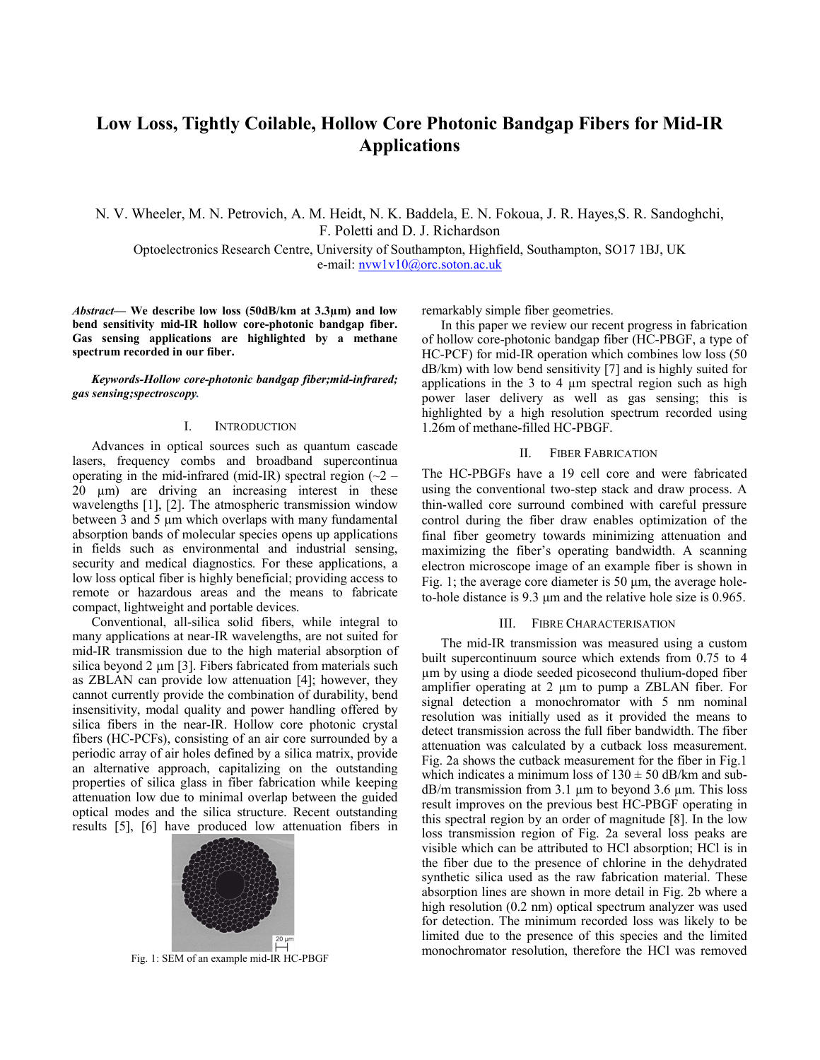# **Low Loss, Tightly Coilable, Hollow Core Photonic Bandgap Fibers for Mid-IR Applications**

N. V. Wheeler, M. N. Petrovich, A. M. Heidt, N. K. Baddela, E. N. Fokoua, J. R. Hayes,S. R. Sandoghchi, F. Poletti and D. J. Richardson

Optoelectronics Research Centre, University of Southampton, Highfield, Southampton, SO17 1BJ, UK e-mail: nvw1v10@orc.soton.ac.uk

*Abstract***— We describe low loss (50dB/km at 3.3µm) and low bend sensitivity mid-IR hollow core-photonic bandgap fiber. Gas sensing applications are highlighted by a methane spectrum recorded in our fiber.** 

*Keywords-Hollow core-photonic bandgap fiber;mid-infrared; gas sensing;spectroscopy.* 

#### I. INTRODUCTION

Advances in optical sources such as quantum cascade lasers, frequency combs and broadband supercontinua operating in the mid-infrared (mid-IR) spectral region  $(\sim 2 -$ 20  $\mu$ m) are driving an increasing interest in these wavelengths [1], [2]. The atmospheric transmission window between 3 and 5 µm which overlaps with many fundamental absorption bands of molecular species opens up applications in fields such as environmental and industrial sensing, security and medical diagnostics. For these applications, a low loss optical fiber is highly beneficial; providing access to remote or hazardous areas and the means to fabricate compact, lightweight and portable devices.

Conventional, all-silica solid fibers, while integral to many applications at near-IR wavelengths, are not suited for mid-IR transmission due to the high material absorption of silica beyond  $2 \mu m$  [3]. Fibers fabricated from materials such as ZBLAN can provide low attenuation [4]; however, they cannot currently provide the combination of durability, bend insensitivity, modal quality and power handling offered by silica fibers in the near-IR. Hollow core photonic crystal fibers (HC-PCFs), consisting of an air core surrounded by a periodic array of air holes defined by a silica matrix, provide an alternative approach, capitalizing on the outstanding properties of silica glass in fiber fabrication while keeping attenuation low due to minimal overlap between the guided optical modes and the silica structure. Recent outstanding results [5], [6] have produced low attenuation fibers in



remarkably simple fiber geometries.

In this paper we review our recent progress in fabrication of hollow core-photonic bandgap fiber (HC-PBGF, a type of HC-PCF) for mid-IR operation which combines low loss (50 dB/km) with low bend sensitivity [7] and is highly suited for applications in the  $3$  to  $4 \mu m$  spectral region such as high power laser delivery as well as gas sensing; this is highlighted by a high resolution spectrum recorded using 1.26m of methane-filled HC-PBGF.

## II. FIBER FABRICATION

The HC-PBGFs have a 19 cell core and were fabricated using the conventional two-step stack and draw process. A thin-walled core surround combined with careful pressure control during the fiber draw enables optimization of the final fiber geometry towards minimizing attenuation and maximizing the fiber's operating bandwidth. A scanning electron microscope image of an example fiber is shown in Fig. 1; the average core diameter is 50  $\mu$ m, the average holeto-hole distance is 9.3 μm and the relative hole size is 0.965.

## III. FIBRE CHARACTERISATION

The mid-IR transmission was measured using a custom built supercontinuum source which extends from 0.75 to 4 µm by using a diode seeded picosecond thulium-doped fiber amplifier operating at 2 µm to pump a ZBLAN fiber. For signal detection a monochromator with 5 nm nominal resolution was initially used as it provided the means to detect transmission across the full fiber bandwidth. The fiber attenuation was calculated by a cutback loss measurement. Fig. 2a shows the cutback measurement for the fiber in Fig.1 which indicates a minimum loss of  $130 \pm 50$  dB/km and sub $dB/m$  transmission from 3.1  $\mu$ m to beyond 3.6  $\mu$ m. This loss result improves on the previous best HC-PBGF operating in this spectral region by an order of magnitude [8]. In the low loss transmission region of Fig. 2a several loss peaks are visible which can be attributed to HCl absorption; HCl is in the fiber due to the presence of chlorine in the dehydrated synthetic silica used as the raw fabrication material. These absorption lines are shown in more detail in Fig. 2b where a high resolution (0.2 nm) optical spectrum analyzer was used for detection. The minimum recorded loss was likely to be limited due to the presence of this species and the limited Fig. 1: SEM of an example  $H^2$ <br>Fig. 1: SEM of an example mid-IR HC-PBGF monochromator resolution, therefore the HCl was removed